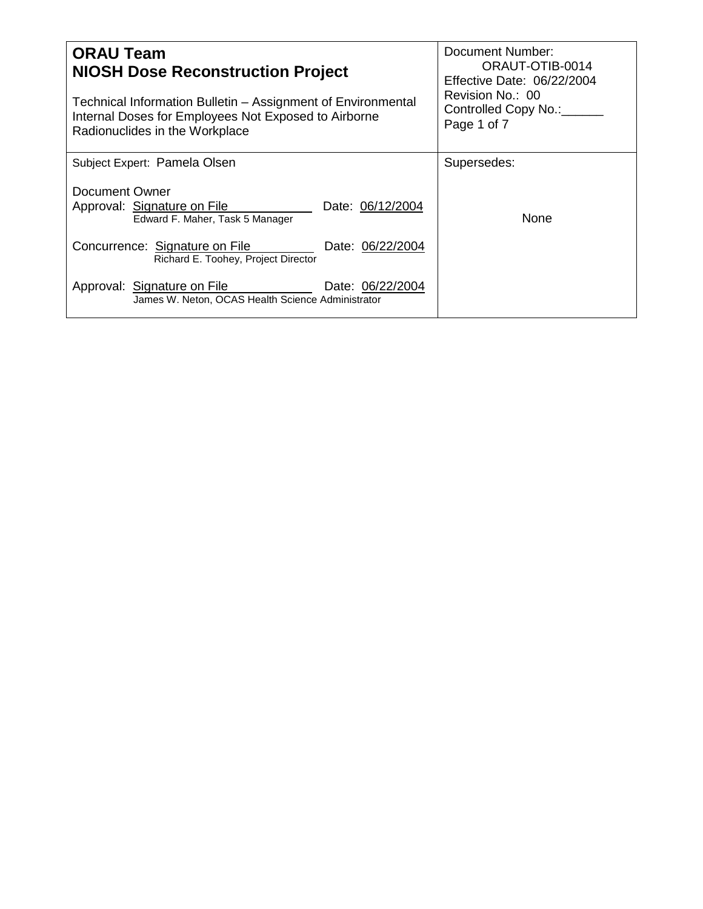| <b>ORAU Team</b><br><b>NIOSH Dose Reconstruction Project</b><br>Technical Information Bulletin – Assignment of Environmental<br>Internal Doses for Employees Not Exposed to Airborne<br>Radionuclides in the Workplace | Document Number:<br>ORAUT-OTIB-0014<br><b>Effective Date: 06/22/2004</b><br>Revision No.: 00<br>Controlled Copy No.:<br>Page 1 of 7 |  |
|------------------------------------------------------------------------------------------------------------------------------------------------------------------------------------------------------------------------|-------------------------------------------------------------------------------------------------------------------------------------|--|
| Subject Expert: Pamela Olsen                                                                                                                                                                                           | Supersedes:                                                                                                                         |  |
| Document Owner<br>Approval: Signature on File<br>Date: 06/12/2004<br>Edward F. Maher, Task 5 Manager                                                                                                                   | None                                                                                                                                |  |
| Concurrence: Signature on File<br>Date: 06/22/2004<br>Richard E. Toohey, Project Director                                                                                                                              |                                                                                                                                     |  |
| Date: 06/22/2004<br>Approval: Signature on File<br>James W. Neton, OCAS Health Science Administrator                                                                                                                   |                                                                                                                                     |  |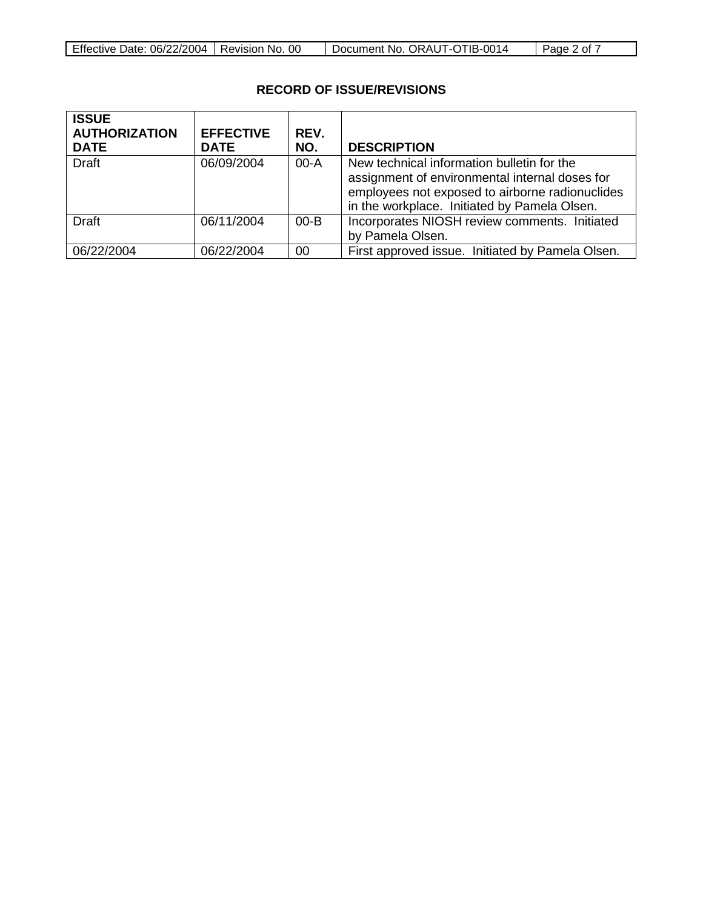|  | Effective Date: 06/22/2004   Revision No. 00 |  | Document No. ORAUT-OTIB-0014 | $\vert$ Page 2 of $\vert$ |
|--|----------------------------------------------|--|------------------------------|---------------------------|
|--|----------------------------------------------|--|------------------------------|---------------------------|

# **RECORD OF ISSUE/REVISIONS**

| <b>ISSUE</b><br><b>AUTHORIZATION</b><br><b>DATE</b> | <b>EFFECTIVE</b><br><b>DATE</b> | REV.<br>NO. | <b>DESCRIPTION</b>                                                                                                                                                                              |
|-----------------------------------------------------|---------------------------------|-------------|-------------------------------------------------------------------------------------------------------------------------------------------------------------------------------------------------|
| <b>Draft</b>                                        | 06/09/2004                      | $00-A$      | New technical information bulletin for the<br>assignment of environmental internal doses for<br>employees not exposed to airborne radionuclides<br>in the workplace. Initiated by Pamela Olsen. |
| <b>Draft</b>                                        | 06/11/2004                      | $00 - B$    | Incorporates NIOSH review comments. Initiated<br>by Pamela Olsen.                                                                                                                               |
| 06/22/2004                                          | 06/22/2004                      | 00          | First approved issue. Initiated by Pamela Olsen.                                                                                                                                                |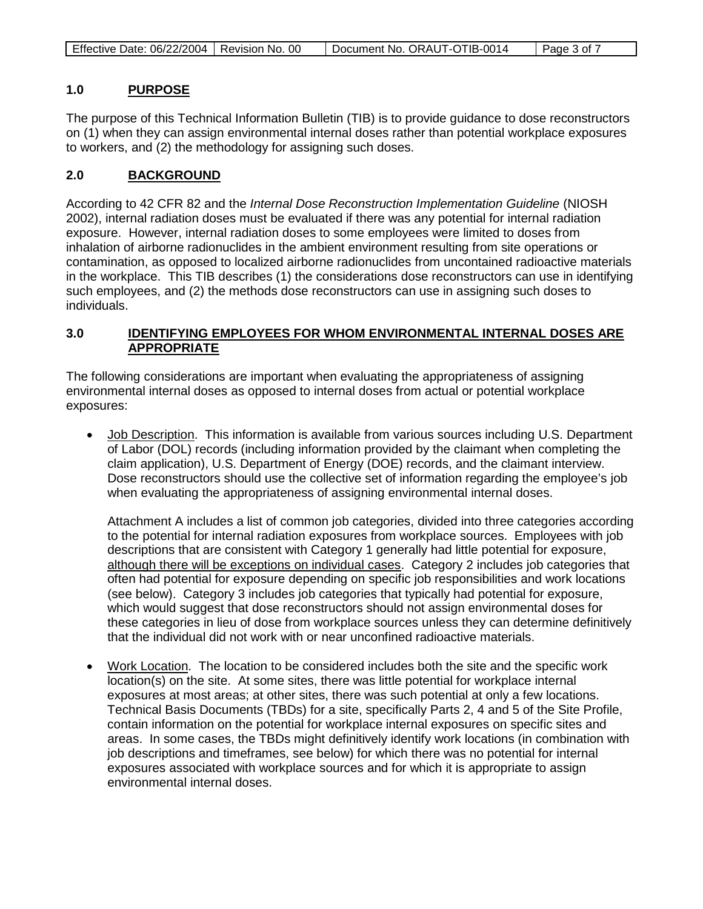|--|

#### **1.0 PURPOSE**

The purpose of this Technical Information Bulletin (TIB) is to provide guidance to dose reconstructors on (1) when they can assign environmental internal doses rather than potential workplace exposures to workers, and (2) the methodology for assigning such doses.

#### **2.0 BACKGROUND**

According to 42 CFR 82 and the *Internal Dose Reconstruction Implementation Guideline* (NIOSH 2002), internal radiation doses must be evaluated if there was any potential for internal radiation exposure. However, internal radiation doses to some employees were limited to doses from inhalation of airborne radionuclides in the ambient environment resulting from site operations or contamination, as opposed to localized airborne radionuclides from uncontained radioactive materials in the workplace. This TIB describes (1) the considerations dose reconstructors can use in identifying such employees, and (2) the methods dose reconstructors can use in assigning such doses to individuals.

### **3.0 IDENTIFYING EMPLOYEES FOR WHOM ENVIRONMENTAL INTERNAL DOSES ARE APPROPRIATE**

The following considerations are important when evaluating the appropriateness of assigning environmental internal doses as opposed to internal doses from actual or potential workplace exposures:

• Job Description. This information is available from various sources including U.S. Department of Labor (DOL) records (including information provided by the claimant when completing the claim application), U.S. Department of Energy (DOE) records, and the claimant interview. Dose reconstructors should use the collective set of information regarding the employee's job when evaluating the appropriateness of assigning environmental internal doses.

Attachment A includes a list of common job categories, divided into three categories according to the potential for internal radiation exposures from workplace sources. Employees with job descriptions that are consistent with Category 1 generally had little potential for exposure, although there will be exceptions on individual cases. Category 2 includes job categories that often had potential for exposure depending on specific job responsibilities and work locations (see below). Category 3 includes job categories that typically had potential for exposure, which would suggest that dose reconstructors should not assign environmental doses for these categories in lieu of dose from workplace sources unless they can determine definitively that the individual did not work with or near unconfined radioactive materials.

• Work Location. The location to be considered includes both the site and the specific work location(s) on the site. At some sites, there was little potential for workplace internal exposures at most areas; at other sites, there was such potential at only a few locations. Technical Basis Documents (TBDs) for a site, specifically Parts 2, 4 and 5 of the Site Profile, contain information on the potential for workplace internal exposures on specific sites and areas. In some cases, the TBDs might definitively identify work locations (in combination with job descriptions and timeframes, see below) for which there was no potential for internal exposures associated with workplace sources and for which it is appropriate to assign environmental internal doses.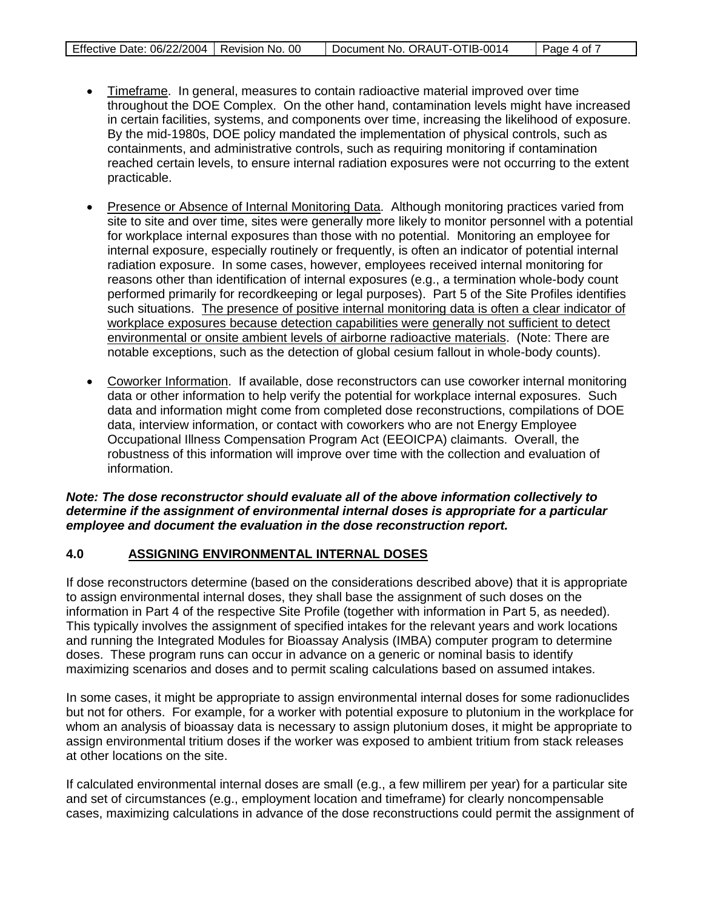| Page 4 of 7 |
|-------------|
|-------------|

- Timeframe. In general, measures to contain radioactive material improved over time throughout the DOE Complex. On the other hand, contamination levels might have increased in certain facilities, systems, and components over time, increasing the likelihood of exposure. By the mid-1980s, DOE policy mandated the implementation of physical controls, such as containments, and administrative controls, such as requiring monitoring if contamination reached certain levels, to ensure internal radiation exposures were not occurring to the extent practicable.
- Presence or Absence of Internal Monitoring Data. Although monitoring practices varied from site to site and over time, sites were generally more likely to monitor personnel with a potential for workplace internal exposures than those with no potential. Monitoring an employee for internal exposure, especially routinely or frequently, is often an indicator of potential internal radiation exposure. In some cases, however, employees received internal monitoring for reasons other than identification of internal exposures (e.g., a termination whole-body count performed primarily for recordkeeping or legal purposes). Part 5 of the Site Profiles identifies such situations. The presence of positive internal monitoring data is often a clear indicator of workplace exposures because detection capabilities were generally not sufficient to detect environmental or onsite ambient levels of airborne radioactive materials . (Note: There are notable exceptions, such as the detection of global cesium fallout in whole-body counts).
- Coworker Information. If available, dose reconstructors can use coworker internal monitoring data or other information to help verify the potential for workplace internal exposures. Such data and information might come from completed dose reconstructions, compilations of DOE data, interview information, or contact with coworkers who are not Energy Employee Occupational Illness Compensation Program Act (EEOICPA) claimants. Overall, the robustness of this information will improve over time with the collection and evaluation of information.

*Note: The dose reconstructor should evaluate all of the above information collectively to determine if the assignment of environmental internal doses is appropriate for a particular employee and document the evaluation in the dose reconstruction report.*

#### **4.0 ASSIGNING ENVIRONMENTAL INTERNAL DOSES**

If dose reconstructors determine (based on the considerations described above) that it is appropriate to assign environmental internal doses, they shall base the assignment of such doses on the information in Part 4 of the respective Site Profile (together with information in Part 5, as needed). This typically involves the assignment of specified intakes for the relevant years and work locations and running the Integrated Modules for Bioassay Analysis (IMBA) computer program to determine doses. These program runs can occur in advance on a generic or nominal basis to identify maximizing scenarios and doses and to permit scaling calculations based on assumed intakes.

In some cases, it might be appropriate to assign environmental internal doses for some radionuclides but not for others. For example, for a worker with potential exposure to plutonium in the workplace for whom an analysis of bioassay data is necessary to assign plutonium doses, it might be appropriate to assign environmental tritium doses if the worker was exposed to ambient tritium from stack releases at other locations on the site.

If calculated environmental internal doses are small (e.g., a few millirem per year) for a particular site and set of circumstances (e.g., employment location and timeframe) for clearly noncompensable cases, maximizing calculations in advance of the dose reconstructions could permit the assignment of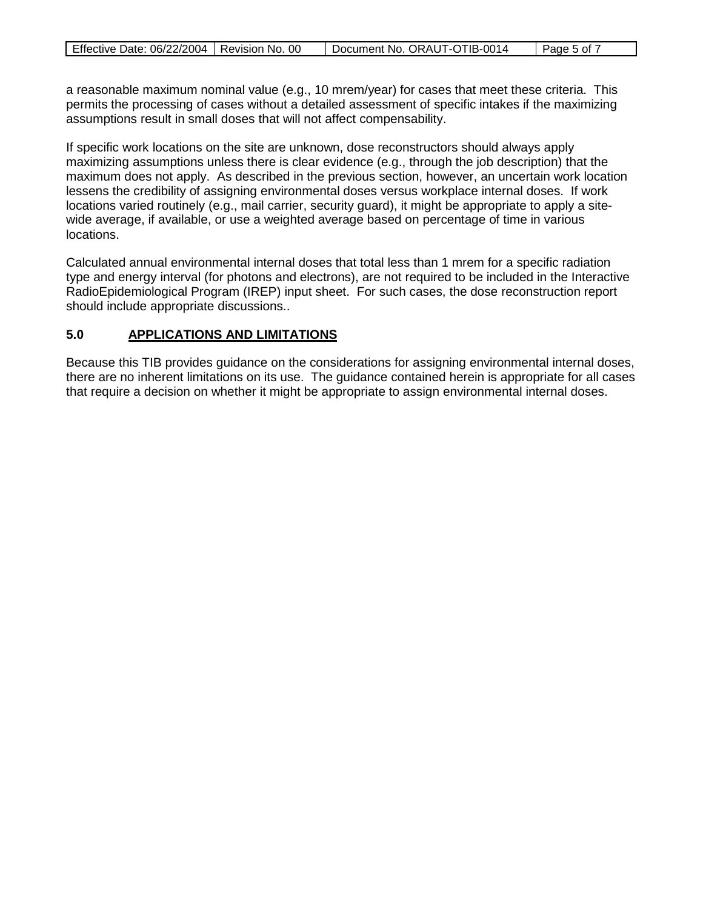| Effective Date: 06/22/2004   Revision No. 00 | Document No. ORAUT-OTIB-0014 | $\overline{ }$ Page 5 of $\overline{ }$ |
|----------------------------------------------|------------------------------|-----------------------------------------|
|                                              |                              |                                         |

a reasonable maximum nominal value (e.g., 10 mrem/year) for cases that meet these criteria. This permits the processing of cases without a detailed assessment of specific intakes if the maximizing assumptions result in small doses that will not affect compensability.

If specific work locations on the site are unknown, dose reconstructors should always apply maximizing assumptions unless there is clear evidence (e.g., through the job description) that the maximum does not apply. As described in the previous section, however, an uncertain work location lessens the credibility of assigning environmental doses versus workplace internal doses. If work locations varied routinely (e.g., mail carrier, security guard), it might be appropriate to apply a sitewide average, if available, or use a weighted average based on percentage of time in various locations.

Calculated annual environmental internal doses that total less than 1 mrem for a specific radiation type and energy interval (for photons and electrons), are not required to be included in the Interactive RadioEpidemiological Program (IREP) input sheet. For such cases, the dose reconstruction report should include appropriate discussions..

#### **5.0 APPLICATIONS AND LIMITATIONS**

Because this TIB provides guidance on the considerations for assigning environmental internal doses, there are no inherent limitations on its use. The guidance contained herein is appropriate for all cases that require a decision on whether it might be appropriate to assign environmental internal doses.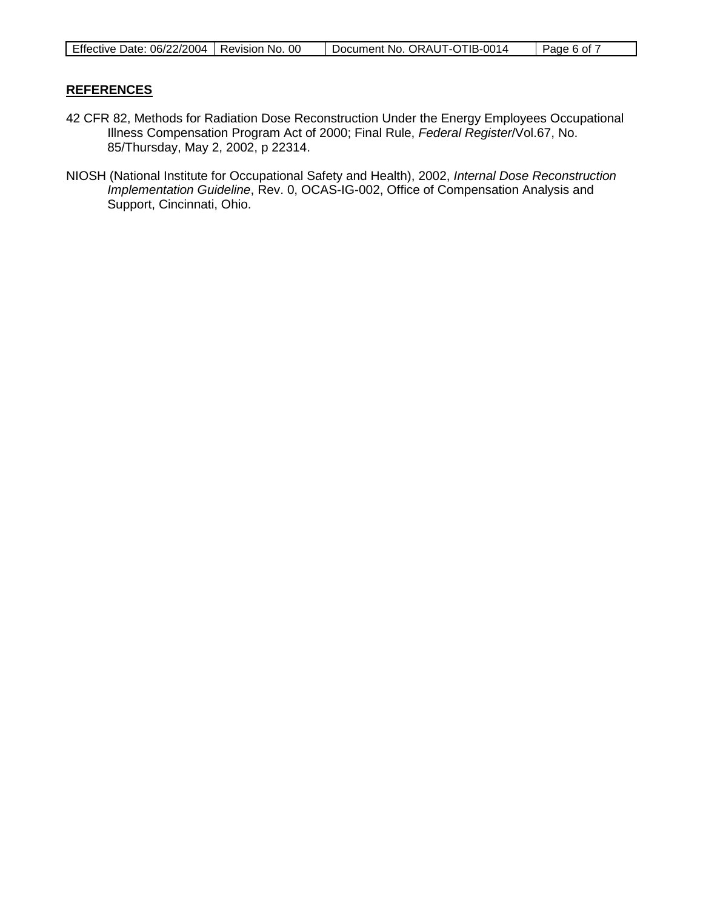| Effective Date: 06/22/2004   Revision No. | . ೧೧ | Document No. ORAUT-OTIB-0014 | Page 6 of |
|-------------------------------------------|------|------------------------------|-----------|

### **REFERENCES**

- 42 CFR 82, Methods for Radiation Dose Reconstruction Under the Energy Employees Occupational Illness Compensation Program Act of 2000; Final Rule, *Federal Register*/Vol.67, No. 85/Thursday, May 2, 2002, p 22314.
- NIOSH (National Institute for Occupational Safety and Health), 2002, *Internal Dose Reconstruction Implementation Guideline*, Rev. 0, OCAS-IG-002, Office of Compensation Analysis and Support, Cincinnati, Ohio.